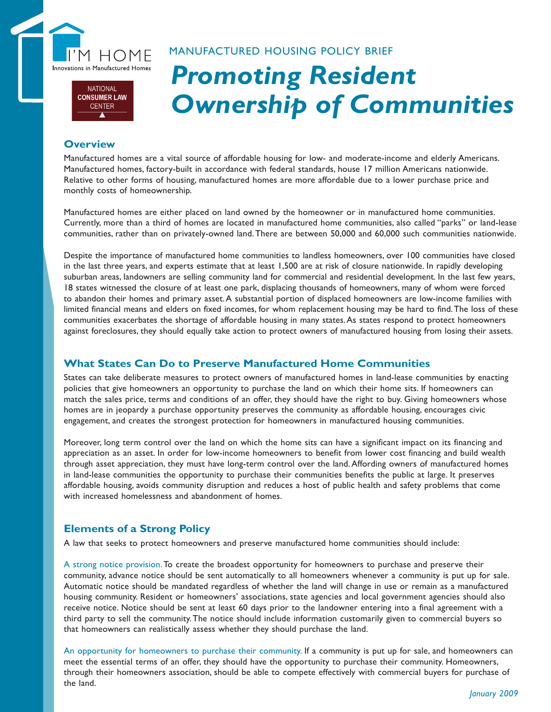

## **NATIONAL CONSUMER LAW CENTER**

# *Promoting Resident Ownership of Communities* MANUFACTURED HOUSING POLICY BRIEF

## **Overview**

Manufactured homes are a vital source of affordable housing for low- and moderate-income and elderly Americans. Manufactured homes, factory-built in accordance with federal standards, house 17 million Americans nationwide. Relative to other forms of housing, manufactured homes are more affordable due to a lower purchase price and monthly costs of homeownership.

Manufactured homes are either placed on land owned by the homeowner or in manufactured home communities. Currently, more than a third of homes are located in manufactured home communities, also called "parks" or land-lease communities, rather than on privately-owned land. There are between 50,000 and 60,000 such communities nationwide.

Despite the importance of manufactured home communities to landless homeowners, over 100 communities have closed in the last three years, and experts estimate that at least 1,500 are at risk of closure nationwide. In rapidly developing suburban areas, landowners are selling community land for commercial and residential development. In the last few years, 18 states witnessed the closure of at least one park, displacing thousands of homeowners, many of whom were forced to abandon their homes and primary asset. A substantial portion of displaced homeowners are low-income families with limited financial means and elders on fixed incomes, for whom replacement housing may be hard to find. The loss of these communities exacerbates the shortage of affordable housing in many states. As states respond to protect homeowners against foreclosures, they should equally take action to protect owners of manufactured housing from losing their assets.

## **What States Can Do to Preserve Manufactured Home Communities**

States can take deliberate measures to protect owners of manufactured homes in land-lease communities by enacting policies that give homeowners an opportunity to purchase the land on which their home sits. If homeowners can match the sales price, terms and conditions of an offer, they should have the right to buy. Giving homeowners whose homes are in jeopardy a purchase opportunity preserves the community as affordable housing, encourages civic engagement, and creates the strongest protection for homeowners in manufactured housing communities.

Moreover, long term control over the land on which the home sits can have a significant impact on its financing and appreciation as an asset. In order for low-income homeowners to benefit from lower cost financing and build wealth through asset appreciation, they must have long-term control over the land. Affording owners of manufactured homes in land-lease communities the opportunity to purchase their communities benefits the public at large. It preserves affordable housing, avoids community disruption and reduces a host of public health and safety problems that come with increased homelessness and abandonment of homes.

# **Elements of a Strong Policy**

A law that seeks to protect homeowners and preserve manufactured home communities should include:

A strong notice provision. To create the broadest opportunity for homeowners to purchase and preserve their community, advance notice should be sent automatically to all homeowners whenever a community is put up for sale. Automatic notice should be mandated regardless of whether the land will change in use or remain as a manufactured housing community. Resident or homeowners' associations, state agencies and local government agencies should also receive notice. Notice should be sent at least 60 days prior to the landowner entering into a final agreement with a third party to sell the community. The notice should include information customarily given to commercial buyers so that homeowners can realistically assess whether they should purchase the land.

An opportunity for homeowners to purchase their community. If a community is put up for sale, and homeowners can meet the essential terms of an offer, they should have the opportunity to purchase their community. Homeowners, through their homeowners association, should be able to compete effectively with commercial buyers for purchase of the land.